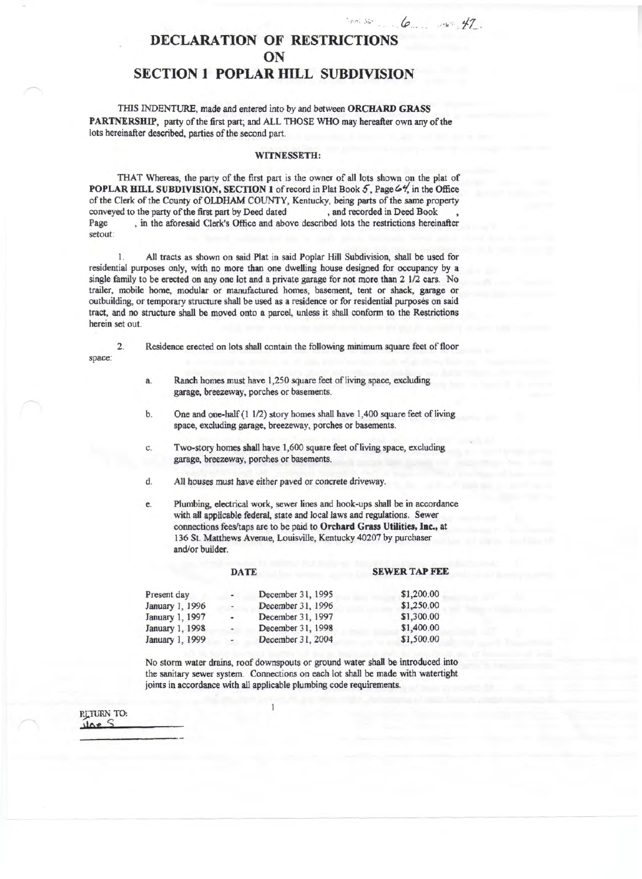## **DECLARATION OF RESTRICTIONS ON SECTION 1 POPLAR HILL SUBDIVISION**

THIS INDENTURE, made and entered into by and between **ORCHARD GRASS PARTNERSHIP,** party of the first part; and ALL THOSE WHO may hereafter own any of the lots hereinafter described, parties of the second part.

## **WITNESSETH:**

THAT Whereas, the party of the first part is the owner of all lots shown on the plat of **POPLAR HILL SUBDIVISION, SECTION 1** of record in Plat Book  $5$ , Page  $64$ , in the Office of the Clerk of the County of OLDHAM COUNTY, Kentucky, being parts of the same property conveyed to the party of the first part by Deed dated and recorded in Deed Book. conveyed to the party of the first part by Deed dated Page , in the aforesaid Clerk's Office and above described lots the restrictions hereinafter setout:

1. All tracts as shown on said Plat in said Poplar Hill Subdivision, shall be used for residential purposes only, with no more than one dwelling house designed for occupancy by a single family to be erected on any one lot and a private garage for not more than 2 1/2 cars. No trailer, mobile home, modular or manufactured homes, basement, tent or shack, garage or outbuilding, or temporary structure shall be used as a residence or for residential purposes on said tract, and no structure shall be moved onto a parcel, unless it shall conform to the Restrictions herein set out.

2. Residence erected on lots shall contain the following minimum square feet of floor

- a. Ranch homes must have 1,250 square feet of living space, excluding garage, breezeway, porches or basements.
- b. One and one-half (1 1/2) story homes shall have 1,400 square feet of living space, excluding garage, breezeway, porches or basements.
- c. Two-story homes shall have 1,600 square feet of living space, excluding garage, breezeway, porches or basements.
- d. All houses must have either paved or concrete driveway.
- e. Plumbing, electrical work, sewer lines and hook-ups shall be in accordance with all applicable federal, state and local laws and regulations. Sewer connections fees/taps are to be paid to **Orchard Grass Utilities, Inc.,** at 136 St. Matthews Avenue, Louisville, Kentucky 40207 by purchaser and/or builder.

## **DATE**

## **SEWER TAP FEE**

| Present day     | $\sim$                   | December 31, 1995 | \$1,200.00 |
|-----------------|--------------------------|-------------------|------------|
| January 1, 1996 | $\rightarrow$            | December 31, 1996 | \$1,250.00 |
| January 1, 1997 | $\blacksquare$           | December 31, 1997 | \$1,300.00 |
| January 1, 1998 | $\overline{\phantom{a}}$ | December 31, 1998 | \$1,400.00 |
| January 1, 1999 | $\sim$                   | December 31, 2004 | \$1,500.00 |

No storm water drains, roof downspouts or ground water shall be introduced into the sanitary sewer system. Connections on each lot shall be made with watertight joints in accordance with all applicable plumbing code requirements.

RETURN TO:

space: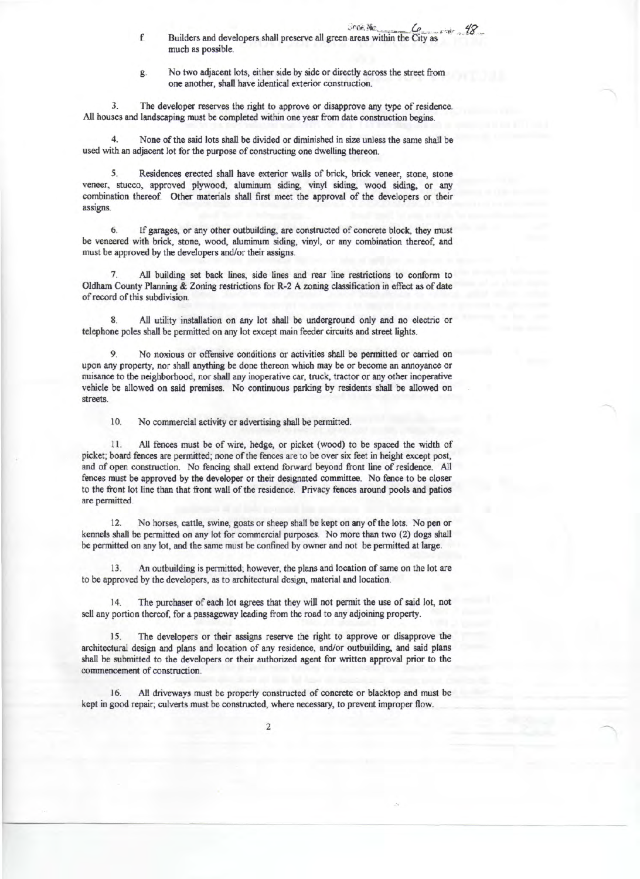- 
- **Prox We**<br> **f.** Builders and developers shall preserve all green areas within the City as much as possible.
- g. No two adjacent lots, either side by side or directly across the street from one another, shall have identical exterior construction.

3. The developer reserves the right to approve or disapprove any type of residence. All houses and landscaping must be completed within one year from date construction begins.

None of the said lots shall be divided or diminished in size unless the same shall be used with an adjacent lot for the purpose of constructing one dwelling thereon.

5. Residences erected shall have exterior walls of brick, brick veneer, stone, stone veneer, stucco, approved plywood, aluminum siding, vinyl siding, wood siding, or any combination thereof. Other materials shall first meet the approval of the developers or their assigns.

6. If garages, or any other outbuilding, are constructed of concrete block, they must be veneered with brick, stone, wood, aluminum siding, vinyl, or any combination thereof, and must be approved by the developers and/or their assigns.

All building set back lines, side lines and rear line restrictions to conform to Oldham County Planning & Zoning restrictions for R-2 A zoning classification in effect as of date of record of this subdivision.

8. All utility installation on any lot shall be underground only and no electric or telephone poles shall be permitted on any lot except main feeder circuits and street lights.

9. No noxious or offensive conditions or activities shall be permitted or carried on upon any property, nor shall anything be done thereon which may be or become an annoyance or nuisance to the neighborhood, nor shall any inoperative car, truck, tractor or any other inoperative vehicle be allowed on said premises. No continuous parking by residents shall be allowed on streets.

10. No commercial activity or advertising shall be permitted.

11. All fences must be of wire, hedge, or picket (wood) to be spaced the width of picket; board fences are permitted; none of the fences are to be over six feet in height except post, and of open construction. No fencing shall extend forward beyond front line of residence. All fences must be approved by the developer or their designated committee. No fence to be closer to the front lot line than that front wall of the residence. Privacy fences around pools and patios are permitted.

12. No horses, cattle, swine, goats or sheep shall be kept on any of the lots. No pen or kennels shall be permitted on any lot for commercial purposes. No more than two (2) dogs shall be permitted on any lot, and the same must be confined by owner and not be permitted at large.

13. An outbuilding is permitted; however, the plans and location of same on the lot are to be approved by the developers, as to architectural design, material and location.

14. The purchaser of each lot agrees that they will not permit the use of said lot, not sell any portion thereof, for a passageway leading from the road to any adjoining property.

15. The developers or their assigns reserve the right to approve or disapprove the architectural design and plans and location of any residence, and/or outbuilding, and said plans shall be submitted to the developers or their authorized agent for written approval prior to the commencement of construction.

16. All driveways must be properly constructed of concrete or blacktop and must be kept in good repair; culverts must be constructed, where necessary, to prevent improper flow.